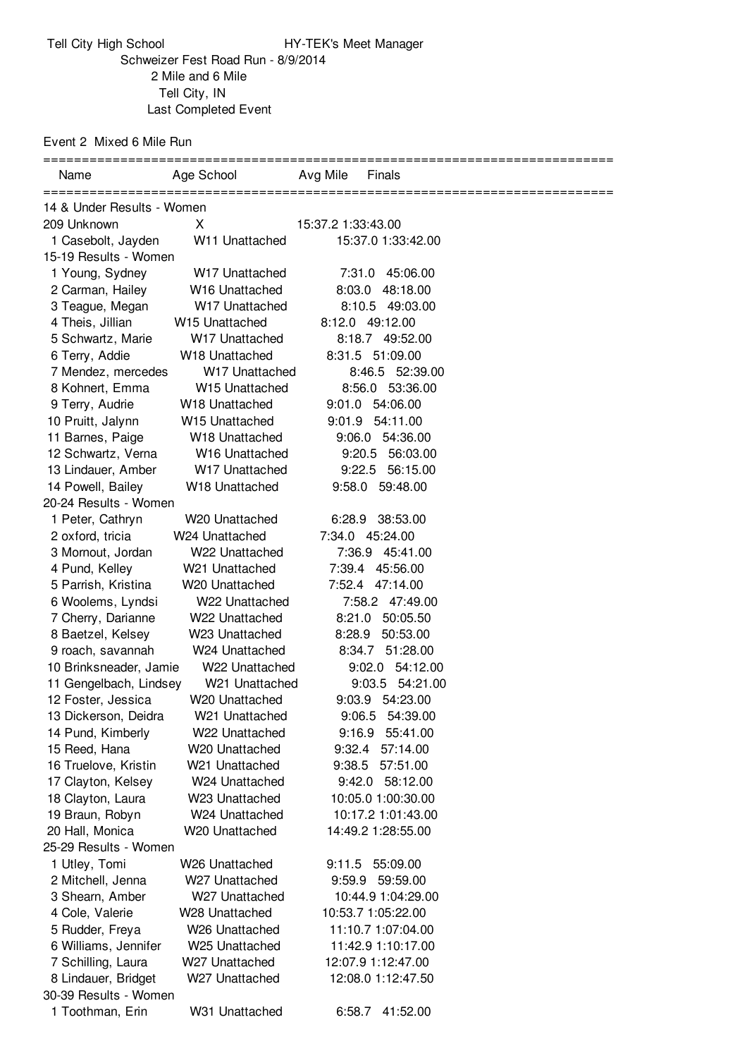Event 2 Mixed 6 Mile Run

Tell City, IN

| Name                                      | Age School                       | Avg Mile<br>Finals                       |  |  |
|-------------------------------------------|----------------------------------|------------------------------------------|--|--|
| 14 & Under Results - Women                |                                  |                                          |  |  |
| 209 Unknown                               | X.                               | 15:37.2 1:33:43.00                       |  |  |
| 1 Casebolt, Jayden                        | W11 Unattached                   | 15:37.0 1:33:42.00                       |  |  |
| 15-19 Results - Women                     |                                  |                                          |  |  |
| 1 Young, Sydney                           | W <sub>17</sub> Unattached       | 7:31.0 45:06.00                          |  |  |
| 2 Carman, Hailey                          | W16 Unattached                   | 8:03.0 48:18.00                          |  |  |
| 3 Teague, Megan                           | W17 Unattached                   | 8:10.5 49:03.00                          |  |  |
| 4 Theis, Jillian                          | W15 Unattached                   | 8:12.0 49:12.00                          |  |  |
| 5 Schwartz, Marie                         | W17 Unattached                   | 8:18.7 49:52.00                          |  |  |
| 6 Terry, Addie                            | W18 Unattached                   | 8:31.5 51:09.00                          |  |  |
| 7 Mendez, mercedes                        | W <sub>17</sub> Unattached       | 8:46.5 52:39.00                          |  |  |
| 8 Kohnert, Emma                           | W15 Unattached                   | 8:56.0 53:36.00                          |  |  |
| 9 Terry, Audrie                           | W <sub>18</sub> Unattached       | 9:01.0 54:06.00                          |  |  |
| 10 Pruitt, Jalynn                         | W15 Unattached                   | 9:01.9 54:11.00                          |  |  |
| 11 Barnes, Paige                          | W18 Unattached                   | 9:06.0 54:36.00                          |  |  |
| 12 Schwartz, Verna                        | W16 Unattached                   | 9:20.5 56:03.00                          |  |  |
| 13 Lindauer, Amber                        | W17 Unattached                   | 9:22.5 56:15.00                          |  |  |
| 14 Powell, Bailey                         | W18 Unattached                   | 9:58.0 59:48.00                          |  |  |
| 20-24 Results - Women                     |                                  |                                          |  |  |
| 1 Peter, Cathryn                          | W20 Unattached                   | 6:28.9<br>38:53.00                       |  |  |
| 2 oxford, tricia                          | W24 Unattached                   | 7:34.0 45:24.00                          |  |  |
| 3 Mornout, Jordan                         | W22 Unattached                   | 7:36.9 45:41.00                          |  |  |
| 4 Pund, Kelley                            | W21 Unattached                   | 7:39.4 45:56.00                          |  |  |
| 5 Parrish, Kristina                       | W20 Unattached                   | 7:52.4 47:14.00                          |  |  |
| 6 Woolems, Lyndsi                         | W22 Unattached                   | 7:58.2 47:49.00                          |  |  |
| 7 Cherry, Darianne                        | W22 Unattached                   | 8:21.0 50:05.50                          |  |  |
| 8 Baetzel, Kelsey                         | W23 Unattached                   | 8:28.9 50:53.00                          |  |  |
| 9 roach, savannah                         | W24 Unattached                   | 8:34.7 51:28.00                          |  |  |
| 10 Brinksneader, Jamie                    | W22 Unattached                   | 9:02.0 54:12.00                          |  |  |
| 11 Gengelbach, Lindsey                    | W <sub>21</sub> Unattached       | 9:03.5 54:21.00                          |  |  |
| 12 Foster, Jessica                        | W20 Unattached                   | 9:03.9 54:23.00                          |  |  |
| 13 Dickerson, Deidra                      | W21 Unattached                   | 9:06.5 54:39.00                          |  |  |
| 14 Pund, Kimberly                         | W22 Unattached                   | 9:16.9 55:41.00                          |  |  |
| 15 Reed, Hana                             | W20 Unattached                   | 9:32.4 57:14.00                          |  |  |
| 16 Truelove, Kristin                      | W21 Unattached                   | 57:51.00<br>9:38.5                       |  |  |
| 17 Clayton, Kelsey                        | W24 Unattached                   | 9:42.0 58:12.00                          |  |  |
| 18 Clayton, Laura                         | W23 Unattached                   | 10:05.0 1:00:30.00                       |  |  |
| 19 Braun, Robyn                           | W24 Unattached                   | 10:17.2 1:01:43.00                       |  |  |
| 20 Hall, Monica                           | W20 Unattached                   | 14:49.2 1:28:55.00                       |  |  |
| 25-29 Results - Women                     |                                  |                                          |  |  |
| 1 Utley, Tomi                             | W <sub>26</sub> Unattached       | 9:11.5 55:09.00                          |  |  |
| 2 Mitchell, Jenna                         | W27 Unattached                   | 9:59.9 59:59.00                          |  |  |
| 3 Shearn, Amber                           | W27 Unattached                   | 10:44.9 1:04:29.00                       |  |  |
| 4 Cole, Valerie                           | W28 Unattached                   | 10:53.7 1:05:22.00                       |  |  |
| 5 Rudder, Freya                           | W26 Unattached                   | 11:10.7 1:07:04.00                       |  |  |
| 6 Williams, Jennifer                      | W25 Unattached                   | 11:42.9 1:10:17.00                       |  |  |
| 7 Schilling, Laura<br>8 Lindauer, Bridget | W27 Unattached<br>W27 Unattached | 12:07.9 1:12:47.00<br>12:08.0 1:12:47.50 |  |  |
| 30-39 Results - Women                     |                                  |                                          |  |  |
| 1 Toothman, Erin                          | W31 Unattached                   | 6:58.7<br>41:52.00                       |  |  |
|                                           |                                  |                                          |  |  |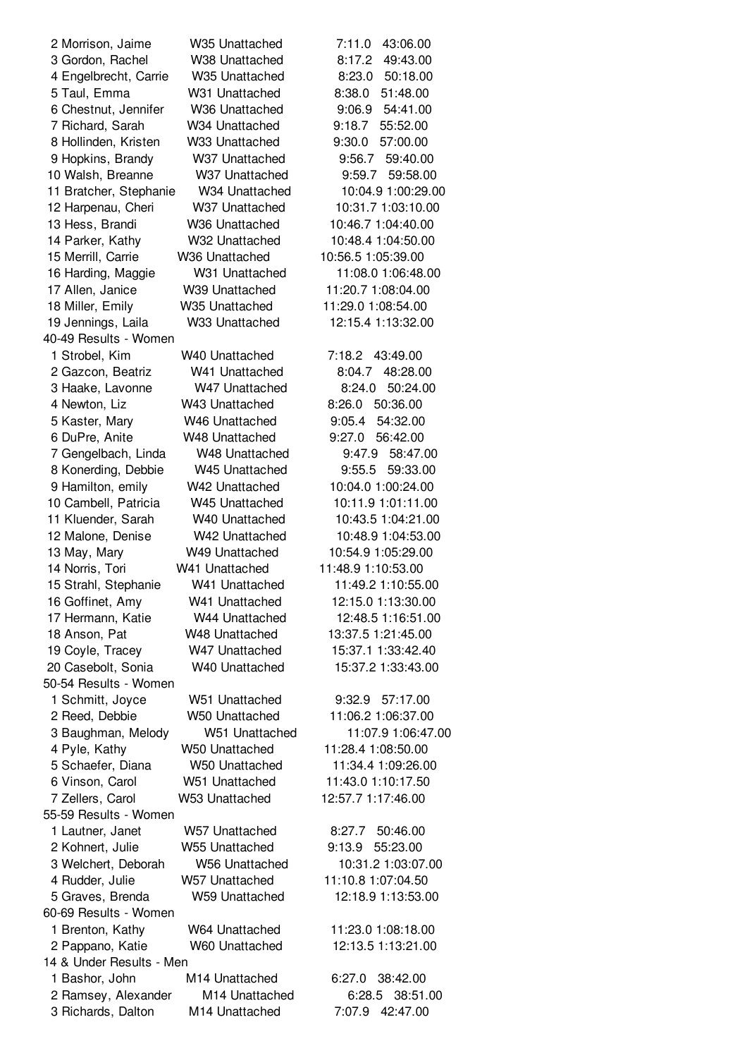| 2 Morrison, Jaime        | W <sub>35</sub> Unattached | 7:11.0<br>43:06.00 |
|--------------------------|----------------------------|--------------------|
| 3 Gordon, Rachel         | W38 Unattached             | 8:17.2<br>49:43.00 |
| 4 Engelbrecht, Carrie    | W <sub>35</sub> Unattached | 8:23.0<br>50:18.00 |
| 5 Taul, Emma             | W31 Unattached             | 8:38.0<br>51:48.00 |
| 6 Chestnut, Jennifer     | W36 Unattached             | 9:06.9<br>54:41.00 |
| 7 Richard, Sarah         | W34 Unattached             | 9:18.7<br>55:52.00 |
| 8 Hollinden, Kristen     | W33 Unattached             | 9:30.0<br>57:00.00 |
| 9 Hopkins, Brandy        | W37 Unattached             | 9:56.7<br>59:40.00 |
| 10 Walsh, Breanne        | W37 Unattached             | 59:58.00<br>9:59.7 |
| 11 Bratcher, Stephanie   | W34 Unattached             | 10:04.9 1:00:29.00 |
| 12 Harpenau, Cheri       | W37 Unattached             | 10:31.7 1:03:10.00 |
| 13 Hess, Brandi          | W36 Unattached             | 10:46.7 1:04:40.00 |
| 14 Parker, Kathy         | W32 Unattached             | 10:48.4 1:04:50.00 |
| 15 Merrill, Carrie       | W36 Unattached             | 10:56.5 1:05:39.00 |
| 16 Harding, Maggie       | W31 Unattached             | 11:08.0 1:06:48.00 |
| 17 Allen, Janice         | W39 Unattached             | 11:20.7 1:08:04.00 |
| 18 Miller, Emily         | W35 Unattached             | 11:29.0 1:08:54.00 |
| 19 Jennings, Laila       | W33 Unattached             | 12:15.4 1:13:32.00 |
| 40-49 Results - Women    |                            |                    |
| 1 Strobel, Kim           | W40 Unattached             | 43:49.00<br>7:18.2 |
| 2 Gazcon, Beatriz        | W41 Unattached             | 48:28.00<br>8:04.7 |
| 3 Haake, Lavonne         | W47 Unattached             | 8:24.0<br>50:24.00 |
| 4 Newton, Liz            | W43 Unattached             | 50:36.00<br>8:26.0 |
| 5 Kaster, Mary           | W46 Unattached             | 9:05.4<br>54:32.00 |
| 6 DuPre, Anite           | W48 Unattached             | 9:27.0<br>56:42.00 |
| 7 Gengelbach, Linda      | W48 Unattached             | 9:47.9<br>58:47.00 |
| 8 Konerding, Debbie      | W45 Unattached             | 9:55.5<br>59:33.00 |
| 9 Hamilton, emily        | W42 Unattached             | 10:04.0 1:00:24.00 |
| 10 Cambell, Patricia     | W45 Unattached             | 10:11.9 1:01:11.00 |
| 11 Kluender, Sarah       | W40 Unattached             | 10:43.5 1:04:21.00 |
| 12 Malone, Denise        | W42 Unattached             | 10:48.9 1:04:53.00 |
| 13 May, Mary             | W49 Unattached             | 10:54.9 1:05:29.00 |
| 14 Norris, Tori          | W41 Unattached             | 11:48.9 1:10:53.00 |
| 15 Strahl, Stephanie     | W41 Unattached             | 11:49.2 1:10:55.00 |
| 16 Goffinet, Amy         | W41 Unattached             | 12:15.0 1:13:30.00 |
| 17 Hermann, Katie        | W44 Unattached             | 12:48.5 1:16:51.00 |
| 18 Anson, Pat            | W48 Unattached             | 13:37.5 1:21:45.00 |
| 19 Coyle, Tracey         | W47 Unattached             | 15:37.1 1:33:42.40 |
| 20 Casebolt, Sonia       | W40 Unattached             | 15:37.2 1:33:43.00 |
| 50-54 Results - Women    |                            |                    |
| 1 Schmitt, Joyce         | W51 Unattached             | 9:32.9 57:17.00    |
| 2 Reed, Debbie           | W50 Unattached             | 11:06.2 1:06:37.00 |
| 3 Baughman, Melody       | W51 Unattached             | 11:07.9 1:06:47.00 |
| 4 Pyle, Kathy            | W50 Unattached             | 11:28.4 1:08:50.00 |
| 5 Schaefer, Diana        | W50 Unattached             | 11:34.4 1:09:26.00 |
| 6 Vinson, Carol          | W51 Unattached             | 11:43.0 1:10:17.50 |
| 7 Zellers, Carol         | W53 Unattached             | 12:57.7 1:17:46.00 |
| 55-59 Results - Women    |                            |                    |
| 1 Lautner, Janet         | W57 Unattached             | 50:46.00<br>8:27.7 |
| 2 Kohnert, Julie         | W55 Unattached             | 9:13.9<br>55:23.00 |
| 3 Welchert, Deborah      | W56 Unattached             | 10:31.2 1:03:07.00 |
| 4 Rudder, Julie          | W57 Unattached             | 11:10.8 1:07:04.50 |
| 5 Graves, Brenda         | W59 Unattached             | 12:18.9 1:13:53.00 |
| 60-69 Results - Women    |                            |                    |
| 1 Brenton, Kathy         | W64 Unattached             | 11:23.0 1:08:18.00 |
| 2 Pappano, Katie         | W60 Unattached             | 12:13.5 1:13:21.00 |
| 14 & Under Results - Men |                            |                    |
| 1 Bashor, John           | M14 Unattached             | 38:42.00<br>6:27.0 |
| 2 Ramsey, Alexander      | M14 Unattached             | 38:51.00<br>6:28.5 |
| 3 Richards, Dalton       | M14 Unattached             | 7:07.9<br>42:47.00 |
|                          |                            |                    |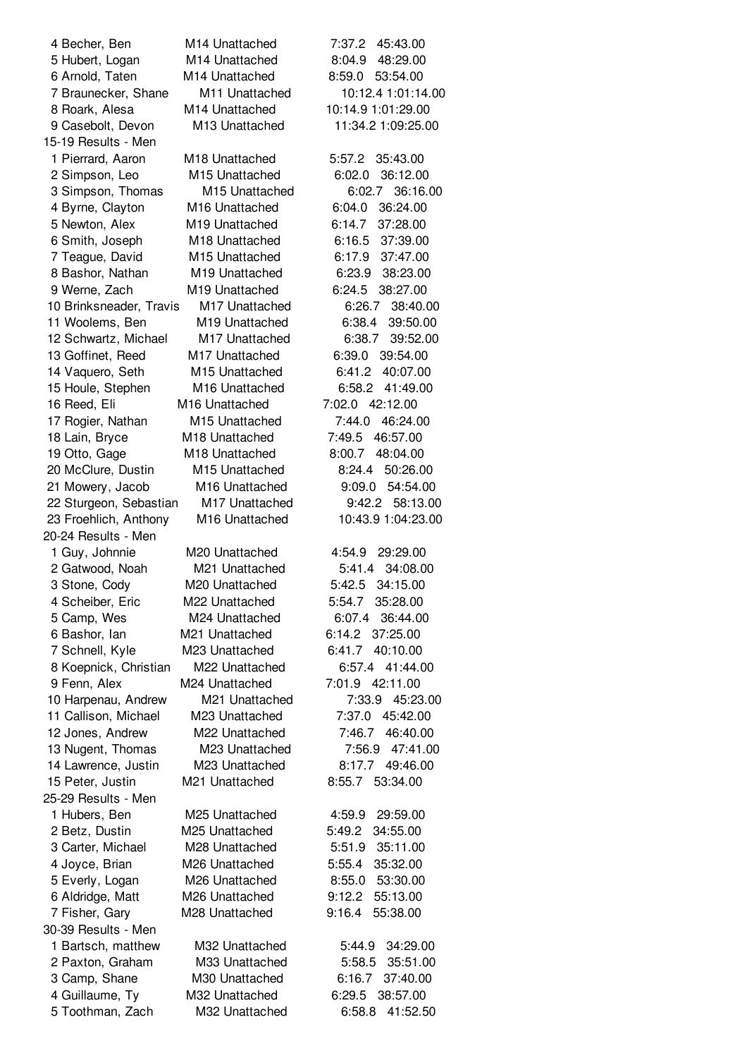Becher, Ben M14 Unattached 7:37.2 45:43.00 Hubert, Logan M14 Unattached 8:04.9 48:29.00 Arnold, Taten M14 Unattached 8:59.0 53:54.00 Braunecker, Shane M11 Unattached 10:12.4 1:01:14.00 Roark, Alesa M14 Unattached 10:14.9 1:01:29.00 Casebolt, Devon M13 Unattached 11:34.2 1:09:25.00 15-19 Results - Men Pierrard, Aaron M18 Unattached 5:57.2 35:43.00 Simpson, Leo M15 Unattached 6:02.0 36:12.00 Simpson, Thomas M15 Unattached 6:02.7 36:16.00 Byrne, Clayton M16 Unattached 6:04.0 36:24.00 Newton, Alex M19 Unattached 6:14.7 37:28.00 Smith, Joseph M18 Unattached 6:16.5 37:39.00 Teague, David M15 Unattached 6:17.9 37:47.00 Bashor, Nathan M19 Unattached 6:23.9 38:23.00 Werne, Zach M19 Unattached 6:24.5 38:27.00 Brinksneader, Travis M17 Unattached 6:26.7 38:40.00 Woolems, Ben M19 Unattached 6:38.4 39:50.00 Schwartz, Michael M17 Unattached 6:38.7 39:52.00 Goffinet, Reed M17 Unattached 6:39.0 39:54.00 Vaquero, Seth M15 Unattached 6:41.2 40:07.00 Houle, Stephen M16 Unattached 6:58.2 41:49.00 Reed, Eli M16 Unattached 7:02.0 42:12.00 Rogier, Nathan M15 Unattached 7:44.0 46:24.00 Lain, Bryce M18 Unattached 7:49.5 46:57.00 Otto, Gage M18 Unattached 8:00.7 48:04.00 McClure, Dustin M15 Unattached 8:24.4 50:26.00 Mowery, Jacob M16 Unattached 9:09.0 54:54.00 Sturgeon, Sebastian M17 Unattached 9:42.2 58:13.00 Froehlich, Anthony M16 Unattached 10:43.9 1:04:23.00 20-24 Results - Men Guy, Johnnie M20 Unattached 4:54.9 29:29.00 Gatwood, Noah M21 Unattached 5:41.4 34:08.00 Stone, Cody M20 Unattached 5:42.5 34:15.00 Scheiber, Eric M22 Unattached 5:54.7 35:28.00 Camp, Wes M24 Unattached 6:07.4 36:44.00 Bashor, Ian M21 Unattached 6:14.2 37:25.00 Schnell, Kyle M23 Unattached 6:41.7 40:10.00 Koepnick, Christian M22 Unattached 6:57.4 41:44.00 Fenn, Alex M24 Unattached 7:01.9 42:11.00 Harpenau, Andrew M21 Unattached 7:33.9 45:23.00 Callison, Michael M23 Unattached 7:37.0 45:42.00 Jones, Andrew M22 Unattached 7:46.7 46:40.00 Nugent, Thomas M23 Unattached 7:56.9 47:41.00 Lawrence, Justin M23 Unattached 8:17.7 49:46.00 Peter, Justin M21 Unattached 8:55.7 53:34.00 25-29 Results - Men Hubers, Ben M25 Unattached 4:59.9 29:59.00 Betz, Dustin M25 Unattached 5:49.2 34:55.00 Carter, Michael M28 Unattached 5:51.9 35:11.00 Joyce, Brian M26 Unattached 5:55.4 35:32.00 Everly, Logan M26 Unattached 8:55.0 53:30.00 Aldridge, Matt M26 Unattached 9:12.2 55:13.00 Fisher, Gary M28 Unattached 9:16.4 55:38.00 30-39 Results - Men Bartsch, matthew M32 Unattached 5:44.9 34:29.00 Paxton, Graham M33 Unattached 5:58.5 35:51.00 Camp, Shane M30 Unattached 6:16.7 37:40.00 Guillaume, Ty M32 Unattached 6:29.5 38:57.00 Toothman, Zach M32 Unattached 6:58.8 41:52.50